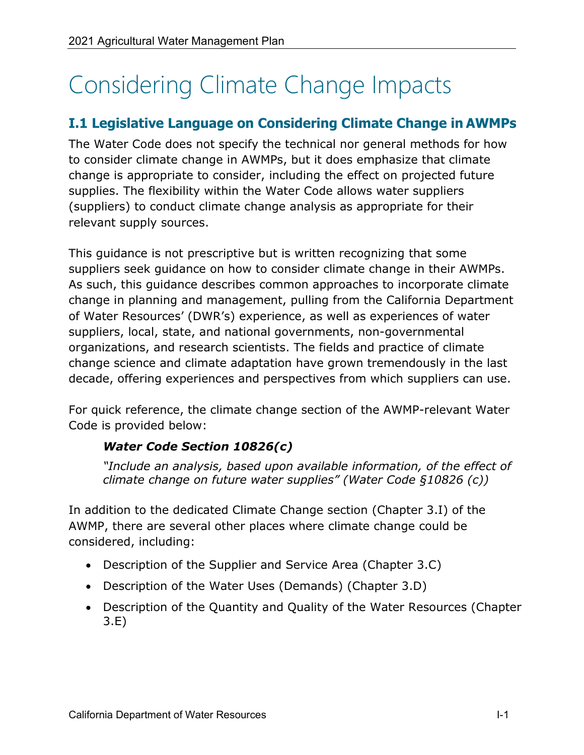# Considering Climate Change Impacts

# **I.1 Legislative Language on Considering Climate Change in AWMPs**

The Water Code does not specify the technical nor general methods for how to consider climate change in AWMPs, but it does emphasize that climate change is appropriate to consider, including the effect on projected future supplies. The flexibility within the Water Code allows water suppliers (suppliers) to conduct climate change analysis as appropriate for their relevant supply sources.

This guidance is not prescriptive but is written recognizing that some suppliers seek guidance on how to consider climate change in their AWMPs. As such, this guidance describes common approaches to incorporate climate change in planning and management, pulling from the California Department of Water Resources' (DWR's) experience, as well as experiences of water suppliers, local, state, and national governments, non-governmental organizations, and research scientists. The fields and practice of climate change science and climate adaptation have grown tremendously in the last decade, offering experiences and perspectives from which suppliers can use.

For quick reference, the climate change section of the AWMP-relevant Water Code is provided below:

# *Water Code Section 10826(c)*

*"Include an analysis, based upon available information, of the effect of climate change on future water supplies" (Water Code §10826 (c))*

In addition to the dedicated Climate Change section (Chapter 3.I) of the AWMP, there are several other places where climate change could be considered, including:

- Description of the Supplier and Service Area (Chapter 3.C)
- Description of the Water Uses (Demands) (Chapter 3.D)
- Description of the Quantity and Quality of the Water Resources (Chapter 3.E)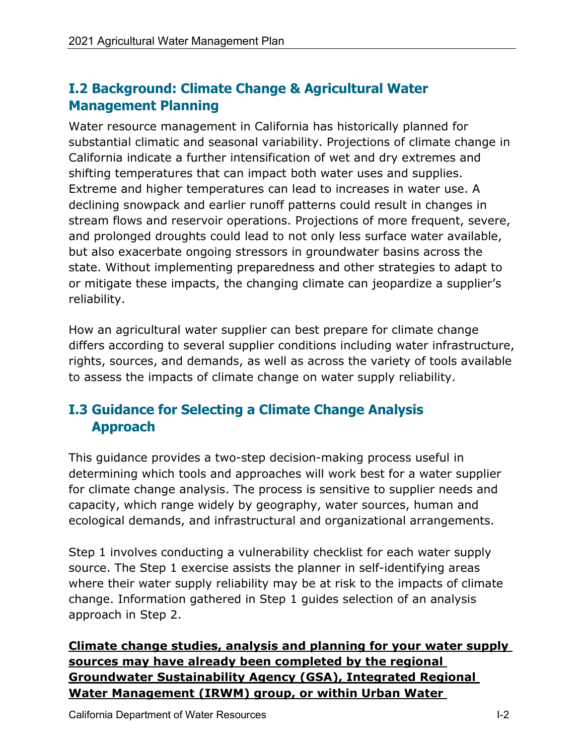# **I.2 Background: Climate Change & Agricultural Water Management Planning**

Water resource management in California has historically planned for substantial climatic and seasonal variability. Projections of climate change in California indicate a further intensification of wet and dry extremes and shifting temperatures that can impact both water uses and supplies. Extreme and higher temperatures can lead to increases in water use. A declining snowpack and earlier runoff patterns could result in changes in stream flows and reservoir operations. Projections of more frequent, severe, and prolonged droughts could lead to not only less surface water available, but also exacerbate ongoing stressors in groundwater basins across the state. Without implementing preparedness and other strategies to adapt to or mitigate these impacts, the changing climate can jeopardize a supplier's reliability.

How an agricultural water supplier can best prepare for climate change differs according to several supplier conditions including water infrastructure, rights, sources, and demands, as well as across the variety of tools available to assess the impacts of climate change on water supply reliability.

# **I.3 Guidance for Selecting a Climate Change Analysis Approach**

This guidance provides a two-step decision-making process useful in determining which tools and approaches will work best for a water supplier for climate change analysis. The process is sensitive to supplier needs and capacity, which range widely by geography, water sources, human and ecological demands, and infrastructural and organizational arrangements.

Step 1 involves conducting a vulnerability checklist for each water supply source. The Step 1 exercise assists the planner in self-identifying areas where their water supply reliability may be at risk to the impacts of climate change. Information gathered in Step 1 guides selection of an analysis approach in Step 2.

**Climate change studies, analysis and planning for your water supply sources may have already been completed by the regional Groundwater Sustainability Agency (GSA), Integrated Regional Water Management (IRWM) group, or within Urban Water**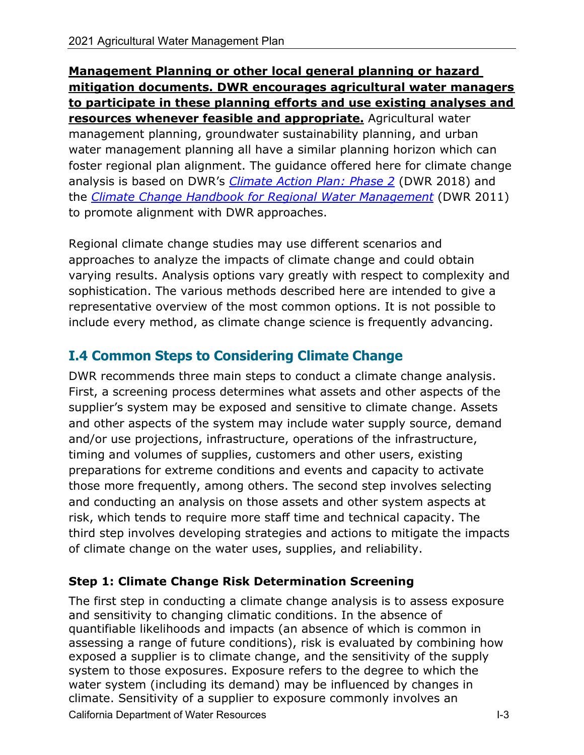**Management Planning or other local general planning or hazard mitigation documents. DWR encourages agricultural water managers to participate in these planning efforts and use existing analyses and resources whenever feasible and appropriate.** Agricultural water management planning, groundwater sustainability planning, and urban water management planning all have a similar planning horizon which can foster regional plan alignment. The guidance offered here for climate change analysis is based on DWR's *[Climate Action Plan: Phase 2](https://water.ca.gov/-/media/DWR-Website/Web-Pages/Programs/All-Programs/Climate-Change-Program/Climate-Action-Plan/Files/CAPII-Climate-Change-Analysis-Guidance.pdf?la=en&hash=944E2E443A898B18EC751A6B7163099155052C3A)* (DWR 2018) and the *[Climate Change Handbook for Regional Water Management](http://climate.calcommons.org/sites/default/files/basic/climate_change_handbook_regional_water_planning.pdf)* (DWR 2011) to promote alignment with DWR approaches.

Regional climate change studies may use different scenarios and approaches to analyze the impacts of climate change and could obtain varying results. Analysis options vary greatly with respect to complexity and sophistication. The various methods described here are intended to give a representative overview of the most common options. It is not possible to include every method, as climate change science is frequently advancing.

# **I.4 Common Steps to Considering Climate Change**

DWR recommends three main steps to conduct a climate change analysis. First, a screening process determines what assets and other aspects of the supplier's system may be exposed and sensitive to climate change. Assets and other aspects of the system may include water supply source, demand and/or use projections, infrastructure, operations of the infrastructure, timing and volumes of supplies, customers and other users, existing preparations for extreme conditions and events and capacity to activate those more frequently, among others. The second step involves selecting and conducting an analysis on those assets and other system aspects at risk, which tends to require more staff time and technical capacity. The third step involves developing strategies and actions to mitigate the impacts of climate change on the water uses, supplies, and reliability.

# **Step 1: Climate Change Risk Determination Screening**

California Department of Water Resources I-3 The first step in conducting a climate change analysis is to assess exposure and sensitivity to changing climatic conditions. In the absence of quantifiable likelihoods and impacts (an absence of which is common in assessing a range of future conditions), risk is evaluated by combining how exposed a supplier is to climate change, and the sensitivity of the supply system to those exposures. Exposure refers to the degree to which the water system (including its demand) may be influenced by changes in climate. Sensitivity of a supplier to exposure commonly involves an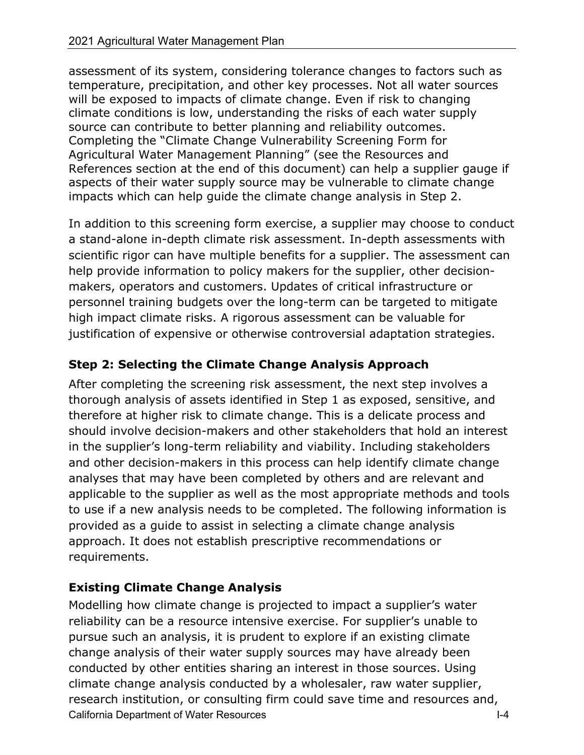assessment of its system, considering tolerance changes to factors such as temperature, precipitation, and other key processes. Not all water sources will be exposed to impacts of climate change. Even if risk to changing climate conditions is low, understanding the risks of each water supply source can contribute to better planning and reliability outcomes. Completing the "Climate Change Vulnerability Screening Form for Agricultural Water Management Planning" (see the Resources and References section at the end of this document) can help a supplier gauge if aspects of their water supply source may be vulnerable to climate change impacts which can help guide the climate change analysis in Step 2.

In addition to this screening form exercise, a supplier may choose to conduct a stand-alone in-depth climate risk assessment. In-depth assessments with scientific rigor can have multiple benefits for a supplier. The assessment can help provide information to policy makers for the supplier, other decisionmakers, operators and customers. Updates of critical infrastructure or personnel training budgets over the long-term can be targeted to mitigate high impact climate risks. A rigorous assessment can be valuable for justification of expensive or otherwise controversial adaptation strategies.

# **Step 2: Selecting the Climate Change Analysis Approach**

After completing the screening risk assessment, the next step involves a thorough analysis of assets identified in Step 1 as exposed, sensitive, and therefore at higher risk to climate change. This is a delicate process and should involve decision-makers and other stakeholders that hold an interest in the supplier's long-term reliability and viability. Including stakeholders and other decision-makers in this process can help identify climate change analyses that may have been completed by others and are relevant and applicable to the supplier as well as the most appropriate methods and tools to use if a new analysis needs to be completed. The following information is provided as a guide to assist in selecting a climate change analysis approach. It does not establish prescriptive recommendations or requirements.

# **Existing Climate Change Analysis**

California Department of Water Resources I-4 Modelling how climate change is projected to impact a supplier's water reliability can be a resource intensive exercise. For supplier's unable to pursue such an analysis, it is prudent to explore if an existing climate change analysis of their water supply sources may have already been conducted by other entities sharing an interest in those sources. Using climate change analysis conducted by a wholesaler, raw water supplier, research institution, or consulting firm could save time and resources and,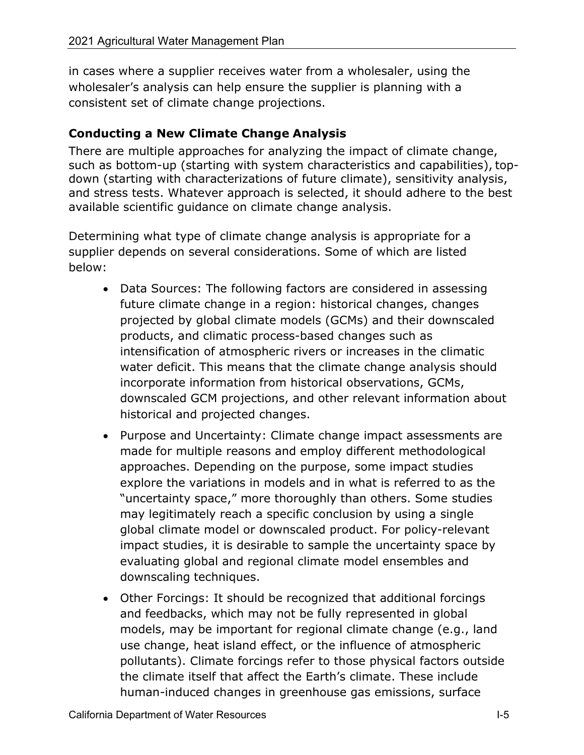in cases where a supplier receives water from a wholesaler, using the wholesaler's analysis can help ensure the supplier is planning with a consistent set of climate change projections.

# **Conducting a New Climate Change Analysis**

There are multiple approaches for analyzing the impact of climate change, such as bottom-up (starting with system characteristics and capabilities), topdown (starting with characterizations of future climate), sensitivity analysis, and stress tests. Whatever approach is selected, it should adhere to the best available scientific guidance on climate change analysis.

Determining what type of climate change analysis is appropriate for a supplier depends on several considerations. Some of which are listed below:

- Data Sources: The following factors are considered in assessing future climate change in a region: historical changes, changes projected by global climate models (GCMs) and their downscaled products, and climatic process-based changes such as intensification of atmospheric rivers or increases in the climatic water deficit. This means that the climate change analysis should incorporate information from historical observations, GCMs, downscaled GCM projections, and other relevant information about historical and projected changes.
- Purpose and Uncertainty: Climate change impact assessments are made for multiple reasons and employ different methodological approaches. Depending on the purpose, some impact studies explore the variations in models and in what is referred to as the "uncertainty space," more thoroughly than others. Some studies may legitimately reach a specific conclusion by using a single global climate model or downscaled product. For policy-relevant impact studies, it is desirable to sample the uncertainty space by evaluating global and regional climate model ensembles and downscaling techniques.
- Other Forcings: It should be recognized that additional forcings and feedbacks, which may not be fully represented in global models, may be important for regional climate change (e.g., land use change, heat island effect, or the influence of atmospheric pollutants). Climate forcings refer to those physical factors outside the climate itself that affect the Earth's climate. These include human-induced changes in greenhouse gas emissions, surface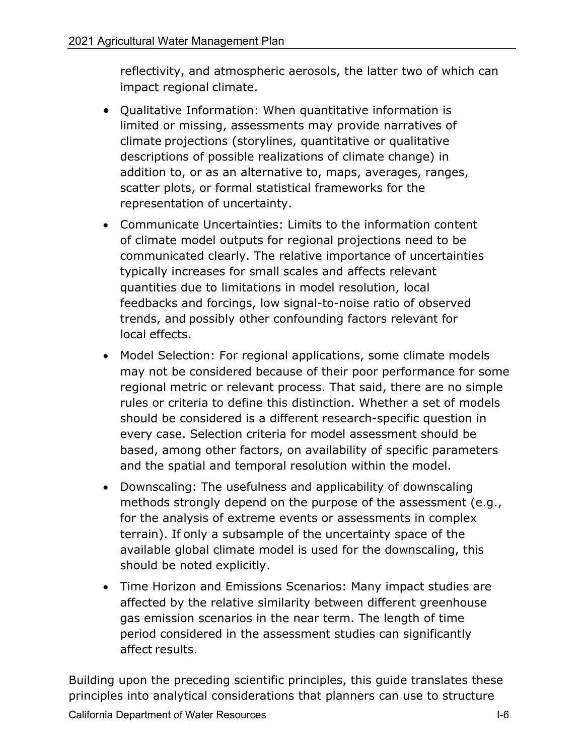reflectivity, and atmospheric aerosols, the latter two of which can impact regional climate.

- Qualitative Information: When quantitative information is limited or missing, assessments may provide narratives of climate projections (storylines, quantitative or qualitative descriptions of possible realizations of climate change) in addition to, or as an alternative to, maps, averages, ranges, scatter plots, or formal statistical frameworks for the representation of uncertainty.
- Communicate Uncertainties: Limits to the information content of climate model outputs for regional projections need to be communicated clearly. The relative importance of uncertainties typically increases for small scales and affects relevant quantities due to limitations in model resolution, local feedbacks and forcings, low signal-to-noise ratio of observed trends, and possibly other confounding factors relevant for local effects.
- Model Selection: For regional applications, some climate models may not be considered because of their poor performance for some regional metric or relevant process. That said, there are no simple rules or criteria to define this distinction. Whether a set of models should be considered is a different research-specific question in every case. Selection criteria for model assessment should be based, among other factors, on availability of specific parameters and the spatial and temporal resolution within the model.
- Downscaling: The usefulness and applicability of downscaling methods strongly depend on the purpose of the assessment (e.g., for the analysis of extreme events or assessments in complex terrain). If only a subsample of the uncertainty space of the available global climate model is used for the downscaling, this should be noted explicitly.
- Time Horizon and Emissions Scenarios: Many impact studies are affected by the relative similarity between different greenhouse gas emission scenarios in the near term. The length of time period considered in the assessment studies can significantly affect results.

Building upon the preceding scientific principles, this guide translates these principles into analytical considerations that planners can use to structure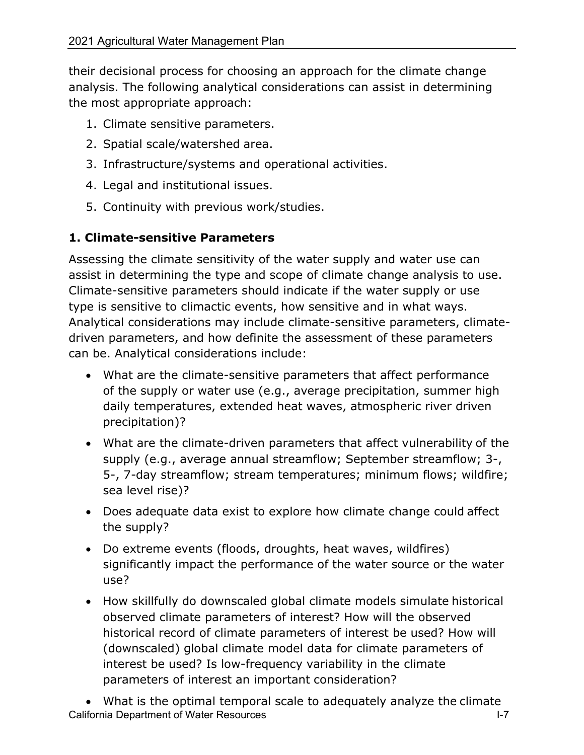their decisional process for choosing an approach for the climate change analysis. The following analytical considerations can assist in determining the most appropriate approach:

- 1. Climate sensitive parameters.
- 2. Spatial scale/watershed area.
- 3. Infrastructure/systems and operational activities.
- 4. Legal and institutional issues.
- 5. Continuity with previous work/studies.

# **1. Climate-sensitive Parameters**

Assessing the climate sensitivity of the water supply and water use can assist in determining the type and scope of climate change analysis to use. Climate-sensitive parameters should indicate if the water supply or use type is sensitive to climactic events, how sensitive and in what ways. Analytical considerations may include climate-sensitive parameters, climatedriven parameters, and how definite the assessment of these parameters can be. Analytical considerations include:

- What are the climate-sensitive parameters that affect performance of the supply or water use (e.g., average precipitation, summer high daily temperatures, extended heat waves, atmospheric river driven precipitation)?
- What are the climate-driven parameters that affect vulnerability of the supply (e.g., average annual streamflow; September streamflow; 3-, 5-, 7-day streamflow; stream temperatures; minimum flows; wildfire; sea level rise)?
- Does adequate data exist to explore how climate change could affect the supply?
- Do extreme events (floods, droughts, heat waves, wildfires) significantly impact the performance of the water source or the water use?
- How skillfully do downscaled global climate models simulate historical observed climate parameters of interest? How will the observed historical record of climate parameters of interest be used? How will (downscaled) global climate model data for climate parameters of interest be used? Is low-frequency variability in the climate parameters of interest an important consideration?

California Department of Water Resources **I-7** and the U-7 • What is the optimal temporal scale to adequately analyze the climate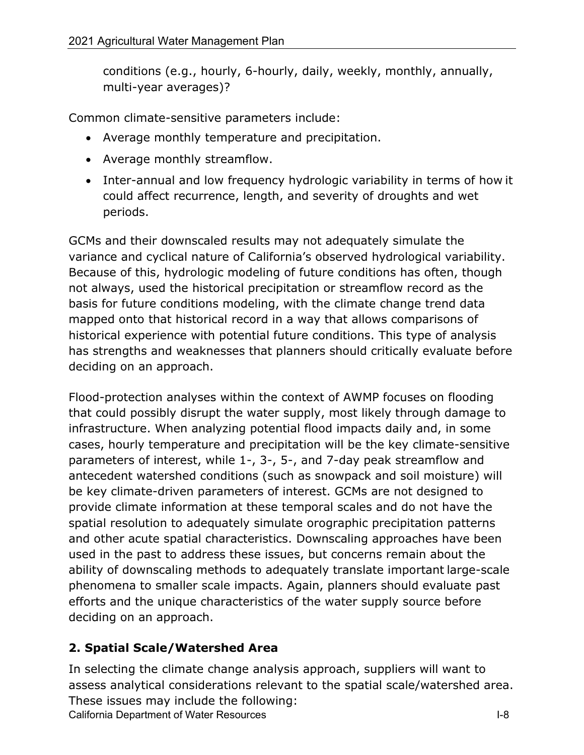conditions (e.g., hourly, 6-hourly, daily, weekly, monthly, annually, multi-year averages)?

Common climate-sensitive parameters include:

- Average monthly temperature and precipitation.
- Average monthly streamflow.
- Inter-annual and low frequency hydrologic variability in terms of how it could affect recurrence, length, and severity of droughts and wet periods.

GCMs and their downscaled results may not adequately simulate the variance and cyclical nature of California's observed hydrological variability. Because of this, hydrologic modeling of future conditions has often, though not always, used the historical precipitation or streamflow record as the basis for future conditions modeling, with the climate change trend data mapped onto that historical record in a way that allows comparisons of historical experience with potential future conditions. This type of analysis has strengths and weaknesses that planners should critically evaluate before deciding on an approach.

Flood-protection analyses within the context of AWMP focuses on flooding that could possibly disrupt the water supply, most likely through damage to infrastructure. When analyzing potential flood impacts daily and, in some cases, hourly temperature and precipitation will be the key climate-sensitive parameters of interest, while 1-, 3-, 5-, and 7-day peak streamflow and antecedent watershed conditions (such as snowpack and soil moisture) will be key climate-driven parameters of interest. GCMs are not designed to provide climate information at these temporal scales and do not have the spatial resolution to adequately simulate orographic precipitation patterns and other acute spatial characteristics. Downscaling approaches have been used in the past to address these issues, but concerns remain about the ability of downscaling methods to adequately translate important large-scale phenomena to smaller scale impacts. Again, planners should evaluate past efforts and the unique characteristics of the water supply source before deciding on an approach.

# **2. Spatial Scale/Watershed Area**

California Department of Water Resources **I-8** and I-8 In selecting the climate change analysis approach, suppliers will want to assess analytical considerations relevant to the spatial scale/watershed area. These issues may include the following: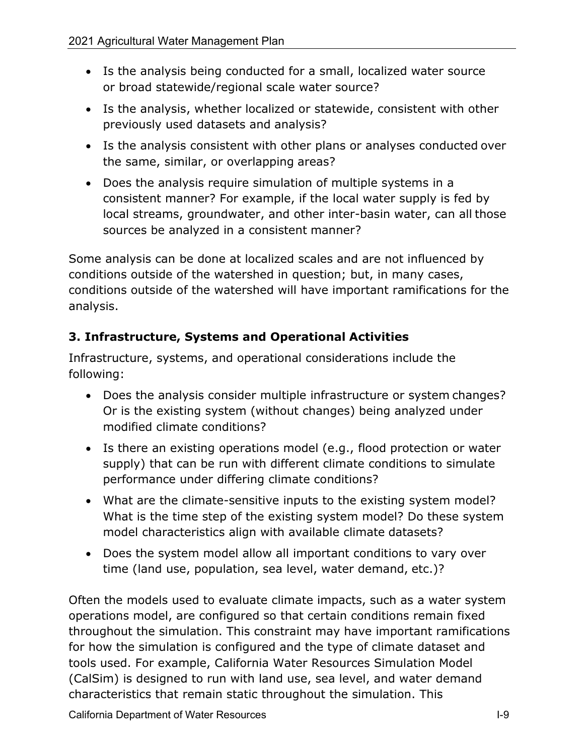- Is the analysis being conducted for a small, localized water source or broad statewide/regional scale water source?
- Is the analysis, whether localized or statewide, consistent with other previously used datasets and analysis?
- Is the analysis consistent with other plans or analyses conducted over the same, similar, or overlapping areas?
- Does the analysis require simulation of multiple systems in a consistent manner? For example, if the local water supply is fed by local streams, groundwater, and other inter-basin water, can all those sources be analyzed in a consistent manner?

Some analysis can be done at localized scales and are not influenced by conditions outside of the watershed in question; but, in many cases, conditions outside of the watershed will have important ramifications for the analysis.

# **3. Infrastructure, Systems and Operational Activities**

Infrastructure, systems, and operational considerations include the following:

- Does the analysis consider multiple infrastructure or system changes? Or is the existing system (without changes) being analyzed under modified climate conditions?
- Is there an existing operations model (e.g., flood protection or water supply) that can be run with different climate conditions to simulate performance under differing climate conditions?
- What are the climate-sensitive inputs to the existing system model? What is the time step of the existing system model? Do these system model characteristics align with available climate datasets?
- Does the system model allow all important conditions to vary over time (land use, population, sea level, water demand, etc.)?

Often the models used to evaluate climate impacts, such as a water system operations model, are configured so that certain conditions remain fixed throughout the simulation. This constraint may have important ramifications for how the simulation is configured and the type of climate dataset and tools used. For example, California Water Resources Simulation Model (CalSim) is designed to run with land use, sea level, and water demand characteristics that remain static throughout the simulation. This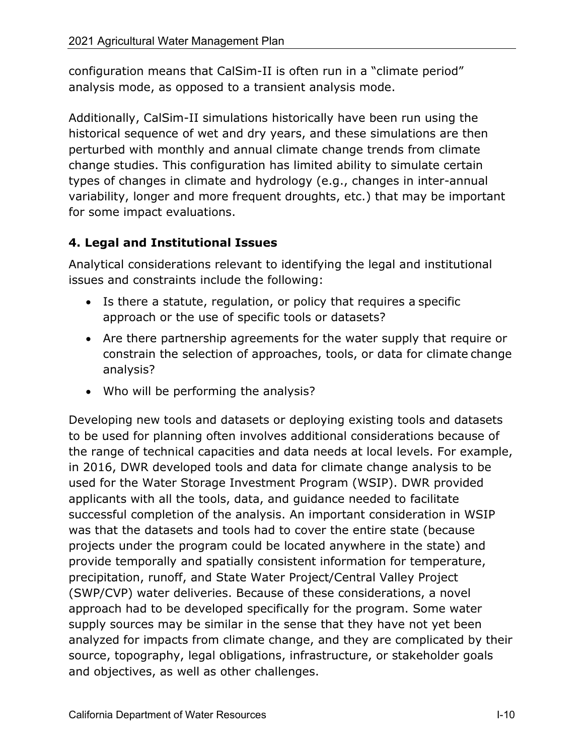configuration means that CalSim-II is often run in a "climate period" analysis mode, as opposed to a transient analysis mode.

Additionally, CalSim-II simulations historically have been run using the historical sequence of wet and dry years, and these simulations are then perturbed with monthly and annual climate change trends from climate change studies. This configuration has limited ability to simulate certain types of changes in climate and hydrology (e.g., changes in inter-annual variability, longer and more frequent droughts, etc.) that may be important for some impact evaluations.

# **4. Legal and Institutional Issues**

Analytical considerations relevant to identifying the legal and institutional issues and constraints include the following:

- Is there a statute, regulation, or policy that requires a specific approach or the use of specific tools or datasets?
- Are there partnership agreements for the water supply that require or constrain the selection of approaches, tools, or data for climate change analysis?
- Who will be performing the analysis?

Developing new tools and datasets or deploying existing tools and datasets to be used for planning often involves additional considerations because of the range of technical capacities and data needs at local levels. For example, in 2016, DWR developed tools and data for climate change analysis to be used for the Water Storage Investment Program (WSIP). DWR provided applicants with all the tools, data, and guidance needed to facilitate successful completion of the analysis. An important consideration in WSIP was that the datasets and tools had to cover the entire state (because projects under the program could be located anywhere in the state) and provide temporally and spatially consistent information for temperature, precipitation, runoff, and State Water Project/Central Valley Project (SWP/CVP) water deliveries. Because of these considerations, a novel approach had to be developed specifically for the program. Some water supply sources may be similar in the sense that they have not yet been analyzed for impacts from climate change, and they are complicated by their source, topography, legal obligations, infrastructure, or stakeholder goals and objectives, as well as other challenges.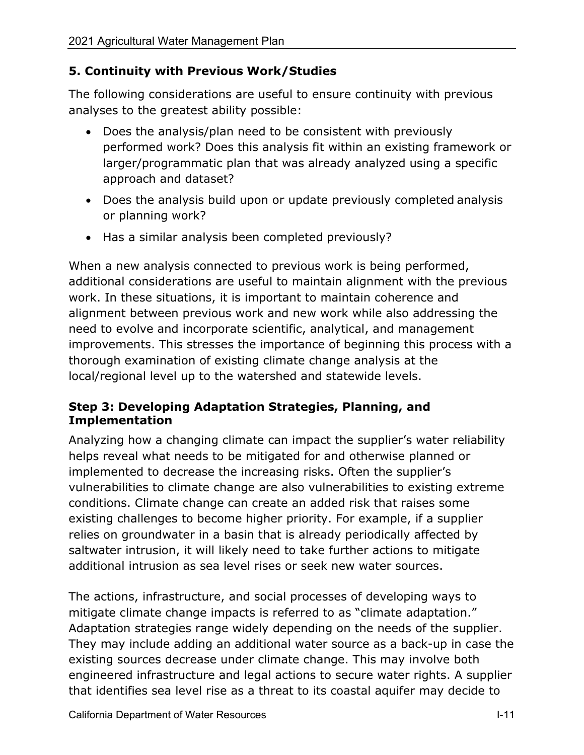# **5. Continuity with Previous Work/Studies**

The following considerations are useful to ensure continuity with previous analyses to the greatest ability possible:

- Does the analysis/plan need to be consistent with previously performed work? Does this analysis fit within an existing framework or larger/programmatic plan that was already analyzed using a specific approach and dataset?
- Does the analysis build upon or update previously completed analysis or planning work?
- Has a similar analysis been completed previously?

When a new analysis connected to previous work is being performed, additional considerations are useful to maintain alignment with the previous work. In these situations, it is important to maintain coherence and alignment between previous work and new work while also addressing the need to evolve and incorporate scientific, analytical, and management improvements. This stresses the importance of beginning this process with a thorough examination of existing climate change analysis at the local/regional level up to the watershed and statewide levels.

## **Step 3: Developing Adaptation Strategies, Planning, and Implementation**

Analyzing how a changing climate can impact the supplier's water reliability helps reveal what needs to be mitigated for and otherwise planned or implemented to decrease the increasing risks. Often the supplier's vulnerabilities to climate change are also vulnerabilities to existing extreme conditions. Climate change can create an added risk that raises some existing challenges to become higher priority. For example, if a supplier relies on groundwater in a basin that is already periodically affected by saltwater intrusion, it will likely need to take further actions to mitigate additional intrusion as sea level rises or seek new water sources.

The actions, infrastructure, and social processes of developing ways to mitigate climate change impacts is referred to as "climate adaptation." Adaptation strategies range widely depending on the needs of the supplier. They may include adding an additional water source as a back-up in case the existing sources decrease under climate change. This may involve both engineered infrastructure and legal actions to secure water rights. A supplier that identifies sea level rise as a threat to its coastal aquifer may decide to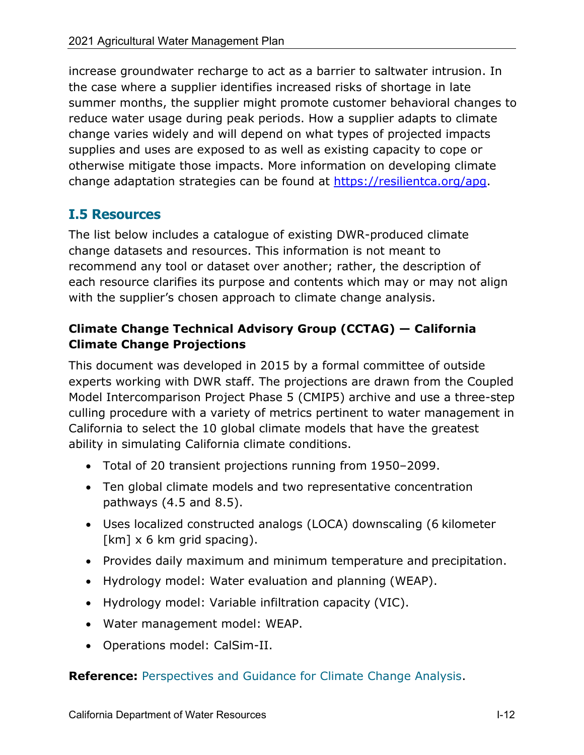increase groundwater recharge to act as a barrier to saltwater intrusion. In the case where a supplier identifies increased risks of shortage in late summer months, the supplier might promote customer behavioral changes to reduce water usage during peak periods. How a supplier adapts to climate change varies widely and will depend on what types of projected impacts supplies and uses are exposed to as well as existing capacity to cope or otherwise mitigate those impacts. More information on developing climate change adaptation strategies can be found at [https://resilientca.org/apg.](https://resilientca.org/apg)

# **I.5 Resources**

The list below includes a catalogue of existing DWR-produced climate change datasets and resources. This information is not meant to recommend any tool or dataset over another; rather, the description of each resource clarifies its purpose and contents which may or may not align with the supplier's chosen approach to climate change analysis.

# **Climate Change Technical Advisory Group (CCTAG) — California Climate Change Projections**

This document was developed in 2015 by a formal committee of outside experts working with DWR staff. The projections are drawn from the Coupled Model Intercomparison Project Phase 5 (CMIP5) archive and use a three-step culling procedure with a variety of metrics pertinent to water management in California to select the 10 global climate models that have the greatest ability in simulating California climate conditions.

- Total of 20 transient projections running from 1950–2099.
- Ten global climate models and two representative concentration pathways (4.5 and 8.5).
- Uses localized constructed analogs (LOCA) downscaling (6 kilometer  $[km] \times 6$  km grid spacing).
- Provides daily maximum and minimum temperature and precipitation.
- Hydrology model: Water evaluation and planning (WEAP).
- Hydrology model: Variable infiltration capacity (VIC).
- Water management model: WEAP.
- Operations model: CalSim-II.

**Reference:** [Perspectives and Guidance for Climate Change Analysis.](https://water.ca.gov/-/media/DWR-Website/Web-Pages/Programs/All-Programs/Climate-Change-Program/Climate-Program-Activities/Files/Reports/Perspectives-Guidance-Climate-Change-Analysis.pdf)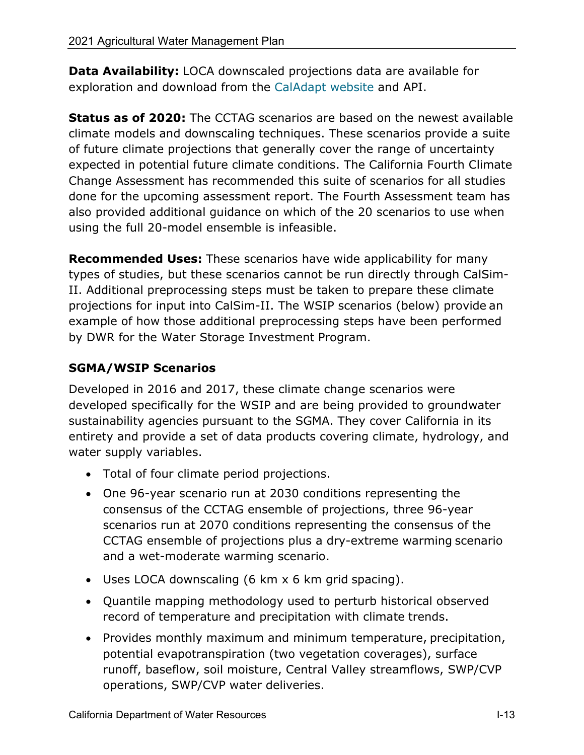**Data Availability:** LOCA downscaled projections data are available for exploration and download from the [CalAdapt website a](http://cal-adapt.org/data/loca/)nd API.

**Status as of 2020:** The CCTAG scenarios are based on the newest available climate models and downscaling techniques. These scenarios provide a suite of future climate projections that generally cover the range of uncertainty expected in potential future climate conditions. The California Fourth Climate Change Assessment has recommended this suite of scenarios for all studies done for the upcoming assessment report. The Fourth Assessment team has also provided additional guidance on which of the 20 scenarios to use when using the full 20-model ensemble is infeasible.

**Recommended Uses:** These scenarios have wide applicability for many types of studies, but these scenarios cannot be run directly through CalSim-II. Additional preprocessing steps must be taken to prepare these climate projections for input into CalSim-II. The WSIP scenarios (below) provide an example of how those additional preprocessing steps have been performed by DWR for the Water Storage Investment Program.

# **SGMA/WSIP Scenarios**

Developed in 2016 and 2017, these climate change scenarios were developed specifically for the WSIP and are being provided to groundwater sustainability agencies pursuant to the SGMA. They cover California in its entirety and provide a set of data products covering climate, hydrology, and water supply variables.

- Total of four climate period projections.
- One 96-year scenario run at 2030 conditions representing the consensus of the CCTAG ensemble of projections, three 96-year scenarios run at 2070 conditions representing the consensus of the CCTAG ensemble of projections plus a dry-extreme warming scenario and a wet-moderate warming scenario.
- Uses LOCA downscaling (6 km x 6 km grid spacing).
- Quantile mapping methodology used to perturb historical observed record of temperature and precipitation with climate trends.
- Provides monthly maximum and minimum temperature, precipitation, potential evapotranspiration (two vegetation coverages), surface runoff, baseflow, soil moisture, Central Valley streamflows, SWP/CVP operations, SWP/CVP water deliveries.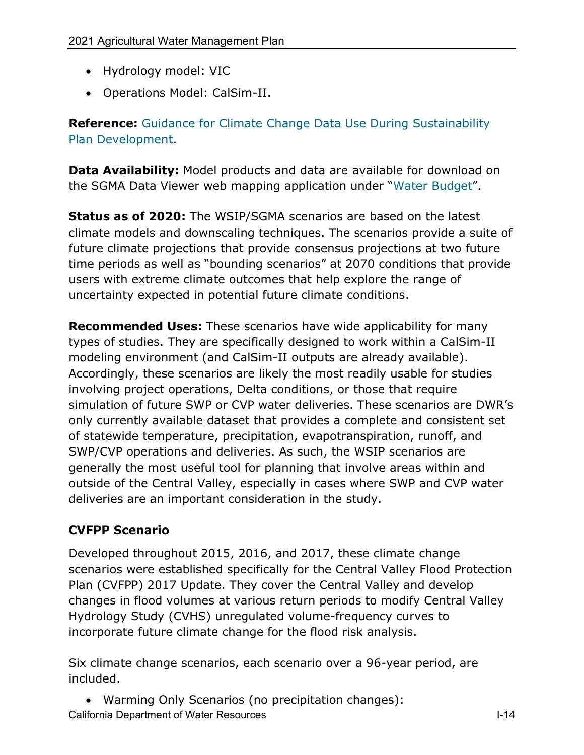- Hydrology model: VIC
- Operations Model: CalSim-II.

**Reference:** [Guidance for Climate Change Data Use During Sustainability](https://water.ca.gov/-/media/DWR-Website/Web-Pages/Programs/Groundwater-Management/Sustainable-Groundwater-Management/Best-Management-Practices-and-Guidance-Documents/Files/Resource-Guide-Climate-Change-Guidance_v8_ay_19.pdf) [Plan Development.](https://water.ca.gov/-/media/DWR-Website/Web-Pages/Programs/Groundwater-Management/Sustainable-Groundwater-Management/Best-Management-Practices-and-Guidance-Documents/Files/Resource-Guide-Climate-Change-Guidance_v8_ay_19.pdf)

**Data Availability:** Model products and data are available for download on the SGMA Data Viewer web mapping application under "Water [Budget"](https://sgma.water.ca.gov/webgis/?appid=SGMADataViewer).

**Status as of 2020:** The WSIP/SGMA scenarios are based on the latest climate models and downscaling techniques. The scenarios provide a suite of future climate projections that provide consensus projections at two future time periods as well as "bounding scenarios" at 2070 conditions that provide users with extreme climate outcomes that help explore the range of uncertainty expected in potential future climate conditions.

**Recommended Uses:** These scenarios have wide applicability for many types of studies. They are specifically designed to work within a CalSim-II modeling environment (and CalSim-II outputs are already available). Accordingly, these scenarios are likely the most readily usable for studies involving project operations, Delta conditions, or those that require simulation of future SWP or CVP water deliveries. These scenarios are DWR's only currently available dataset that provides a complete and consistent set of statewide temperature, precipitation, evapotranspiration, runoff, and SWP/CVP operations and deliveries. As such, the WSIP scenarios are generally the most useful tool for planning that involve areas within and outside of the Central Valley, especially in cases where SWP and CVP water deliveries are an important consideration in the study.

# **CVFPP Scenario**

Developed throughout 2015, 2016, and 2017, these climate change scenarios were established specifically for the Central Valley Flood Protection Plan (CVFPP) 2017 Update. They cover the Central Valley and develop changes in flood volumes at various return periods to modify Central Valley Hydrology Study (CVHS) unregulated volume-frequency curves to incorporate future climate change for the flood risk analysis.

Six climate change scenarios, each scenario over a 96-year period, are included.

California Department of Water Resources I-14 • Warming Only Scenarios (no precipitation changes):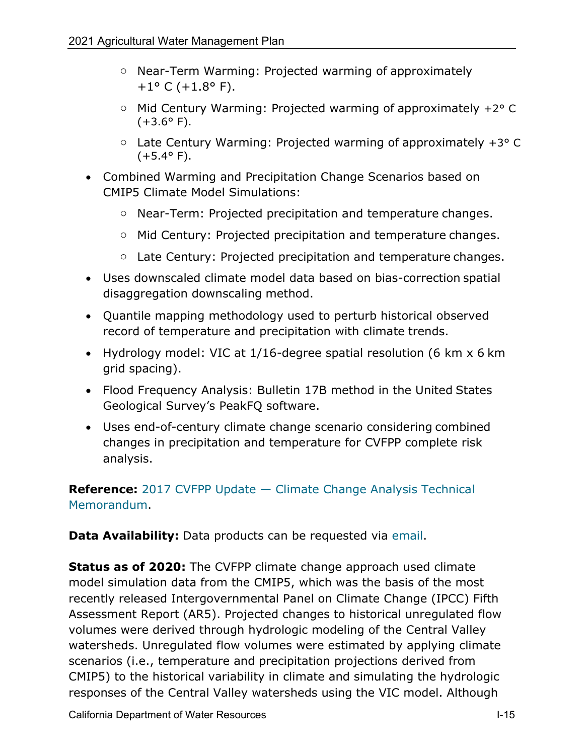- o Near-Term Warming: Projected warming of approximately  $+1$ ° C (+1.8° F).
- o Mid Century Warming: Projected warming of approximately +2° C  $(+3.6^{\circ} \text{ F}).$
- $\circ$  Late Century Warming: Projected warming of approximately +3 $\circ$  C  $(+5.4^{\circ} F).$
- Combined Warming and Precipitation Change Scenarios based on CMIP5 Climate Model Simulations:
	- o Near-Term: Projected precipitation and temperature changes.
	- o Mid Century: Projected precipitation and temperature changes.
	- o Late Century: Projected precipitation and temperature changes.
- Uses downscaled climate model data based on bias-correction spatial disaggregation downscaling method.
- Quantile mapping methodology used to perturb historical observed record of temperature and precipitation with climate trends.
- Hydrology model: VIC at 1/16-degree spatial resolution (6 km x 6 km grid spacing).
- Flood Frequency Analysis: Bulletin 17B method in the United States Geological Survey's PeakFQ software.
- Uses end-of-century climate change scenario considering combined changes in precipitation and temperature for CVFPP complete risk analysis.

**Reference:** [2017 CVFPP Update — Climate Change Analysis Technical](http://cvfpb.ca.gov/wp-content/uploads/2018/03/Draft-Central-Valley-Flood-Protection-Plan-Climate-Change-Analysis-Technical-Memorandum.pdf) [Memorandum.](http://cvfpb.ca.gov/wp-content/uploads/2018/03/Draft-Central-Valley-Flood-Protection-Plan-Climate-Change-Analysis-Technical-Memorandum.pdf)

**Data Availability:** Data products can be requested via [email.](mailto:Questions@CVFlood.ca.gov)

**Status as of 2020:** The CVFPP climate change approach used climate model simulation data from the CMIP5, which was the basis of the most recently released Intergovernmental Panel on Climate Change (IPCC) Fifth Assessment Report (AR5). Projected changes to historical unregulated flow volumes were derived through hydrologic modeling of the Central Valley watersheds. Unregulated flow volumes were estimated by applying climate scenarios (i.e., temperature and precipitation projections derived from CMIP5) to the historical variability in climate and simulating the hydrologic responses of the Central Valley watersheds using the VIC model. Although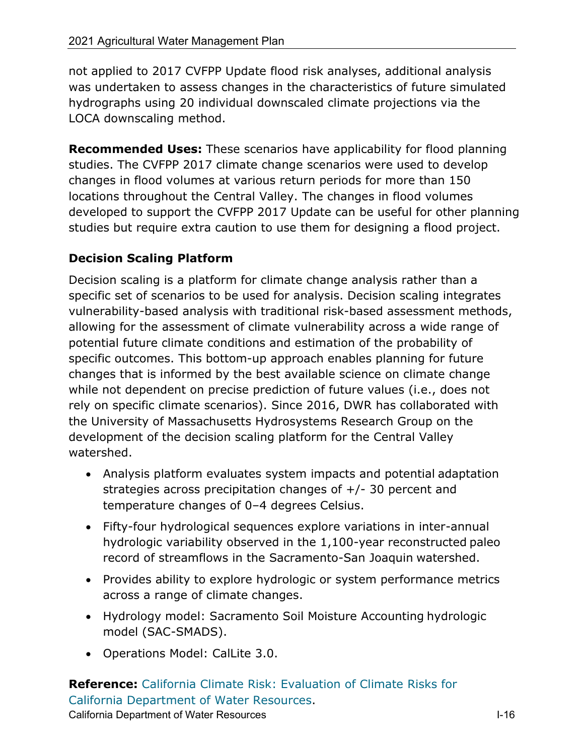not applied to 2017 CVFPP Update flood risk analyses, additional analysis was undertaken to assess changes in the characteristics of future simulated hydrographs using 20 individual downscaled climate projections via the LOCA downscaling method.

**Recommended Uses:** These scenarios have applicability for flood planning studies. The CVFPP 2017 climate change scenarios were used to develop changes in flood volumes at various return periods for more than 150 locations throughout the Central Valley. The changes in flood volumes developed to support the CVFPP 2017 Update can be useful for other planning studies but require extra caution to use them for designing a flood project.

# **Decision Scaling Platform**

Decision scaling is a platform for climate change analysis rather than a specific set of scenarios to be used for analysis. Decision scaling integrates vulnerability-based analysis with traditional risk-based assessment methods, allowing for the assessment of climate vulnerability across a wide range of potential future climate conditions and estimation of the probability of specific outcomes. This bottom-up approach enables planning for future changes that is informed by the best available science on climate change while not dependent on precise prediction of future values (i.e., does not rely on specific climate scenarios). Since 2016, DWR has collaborated with the University of Massachusetts Hydrosystems Research Group on the development of the decision scaling platform for the Central Valley watershed.

- Analysis platform evaluates system impacts and potential adaptation strategies across precipitation changes of +/- 30 percent and temperature changes of 0–4 degrees Celsius.
- Fifty-four hydrological sequences explore variations in inter-annual hydrologic variability observed in the 1,100-year reconstructed paleo record of streamflows in the Sacramento-San Joaquin watershed.
- Provides ability to explore hydrologic or system performance metrics across a range of climate changes.
- Hydrology model: Sacramento Soil Moisture Accounting hydrologic model (SAC-SMADS).
- Operations Model: CalLite 3.0.

**Reference:** [California Climate Risk: Evaluation of Climate Risks for](https://www.researchgate.net/publication/335326901_CLIMATE_CHANGE_RISK_FACED_BY_THE_CALIFORNIA_CENTRAL_VALLEY_WATER_RESOURCE_SYSTEM_A_Report_for_California%27s_Fourth_Climate_Change_Assessment/link/5d5ea3ee92851c3763724ae4/download) [California Department of Water Resources.](https://www.researchgate.net/publication/335326901_CLIMATE_CHANGE_RISK_FACED_BY_THE_CALIFORNIA_CENTRAL_VALLEY_WATER_RESOURCE_SYSTEM_A_Report_for_California%27s_Fourth_Climate_Change_Assessment/link/5d5ea3ee92851c3763724ae4/download)

California Department of Water Resources **I-16** and the United States I-16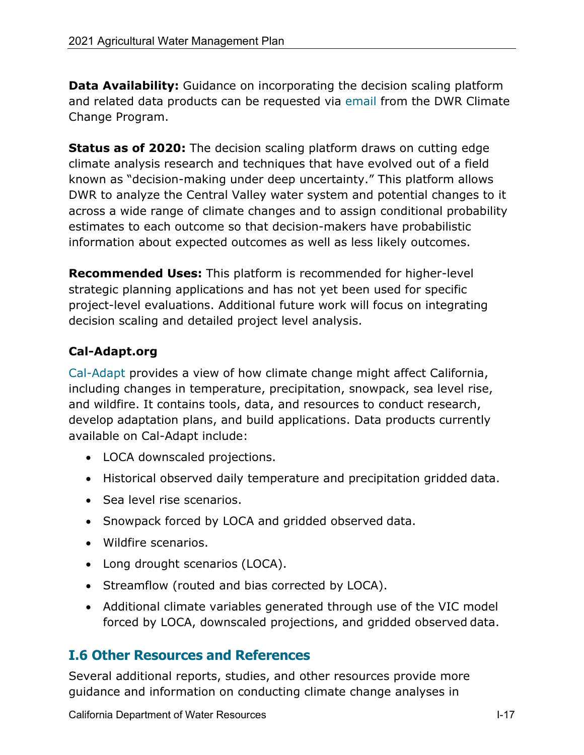**Data Availability:** Guidance on incorporating the decision scaling platform and related data products can be requested via [email f](mailto:climatechange@water.ca.gov)rom the DWR Climate Change Program.

**Status as of 2020:** The decision scaling platform draws on cutting edge climate analysis research and techniques that have evolved out of a field known as "decision-making under deep uncertainty." This platform allows DWR to analyze the Central Valley water system and potential changes to it across a wide range of climate changes and to assign conditional probability estimates to each outcome so that decision-makers have probabilistic information about expected outcomes as well as less likely outcomes.

**Recommended Uses:** This platform is recommended for higher-level strategic planning applications and has not yet been used for specific project-level evaluations. Additional future work will focus on integrating decision scaling and detailed project level analysis.

# **Cal-Adapt.org**

[Cal-Adapt p](http://cal-adapt.org/data/loca/)rovides a view of how climate change might affect California, including changes in temperature, precipitation, snowpack, sea level rise, and wildfire. It contains tools, data, and resources to conduct research, develop adaptation plans, and build applications. Data products currently available on Cal-Adapt include:

- LOCA downscaled projections.
- Historical observed daily temperature and precipitation gridded data.
- Sea level rise scenarios.
- Snowpack forced by LOCA and gridded observed data.
- Wildfire scenarios.
- Long drought scenarios (LOCA).
- Streamflow (routed and bias corrected by LOCA).
- Additional climate variables generated through use of the VIC model forced by LOCA, downscaled projections, and gridded observed data.

# **I.6 Other Resources and References**

Several additional reports, studies, and other resources provide more guidance and information on conducting climate change analyses in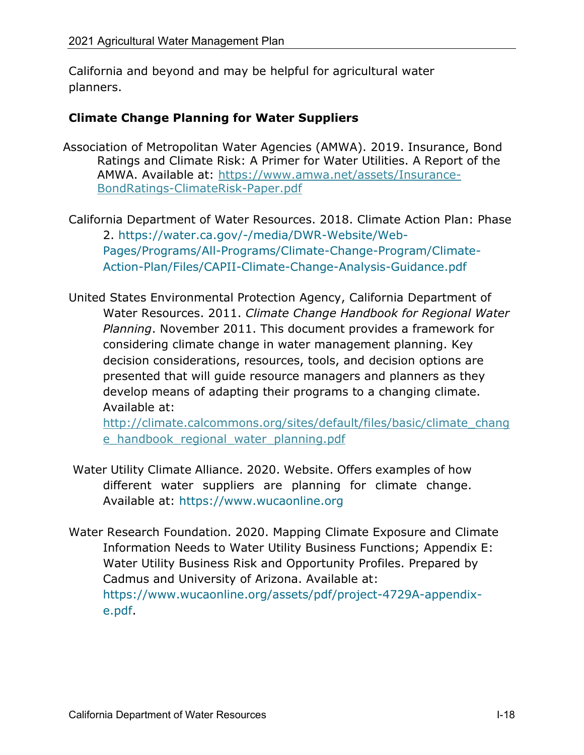California and beyond and may be helpful for agricultural water planners.

#### **Climate Change Planning for Water Suppliers**

- Association of Metropolitan Water Agencies (AMWA). 2019. Insurance, Bond Ratings and Climate Risk: A Primer for Water Utilities. A Report of the AMWA. Available at: [https://www.amwa.net/assets/Insurance-](https://www.amwa.net/assets/Insurance-BondRatings-ClimateRisk-Paper.pdf)[BondRatings-ClimateRisk-Paper.pdf](https://www.amwa.net/assets/Insurance-BondRatings-ClimateRisk-Paper.pdf)
- California Department of Water Resources. 2018. Climate [Action Plan: Phase](https://water.ca.gov/-/media/DWR-Website/Web-Pages/Programs/All-Programs/Climate-Change-Program/Climate-Action-Plan/Files/CAPII-Climate-Change-Analysis-Guidance.pdf?la=en&hash=944E2E443A898B18EC751A6B7163099155052C3A&hash=944E2E443A898B18EC751A6B7163099155052C3A) 2. [https://water.ca.gov/-/media/DWR-Website/Web-](https://water.ca.gov/-/media/DWR-Website/Web-Pages/Programs/All-Programs/Climate-Change-Program/Climate-Action-Plan/Files/CAPII-Climate-Change-Analysis-Guidance.pdf?la=en&hash=944E2E443A898B18EC751A6B7163099155052C3A&hash=944E2E443A898B18EC751A6B7163099155052C3A)[Pages/Programs/All-Programs/Climate-Change-Program/Climate-](https://water.ca.gov/-/media/DWR-Website/Web-Pages/Programs/All-Programs/Climate-Change-Program/Climate-Action-Plan/Files/CAPII-Climate-Change-Analysis-Guidance.pdf?la=en&hash=944E2E443A898B18EC751A6B7163099155052C3A&hash=944E2E443A898B18EC751A6B7163099155052C3A)[Action-Plan/Files/CAPII-Climate-Change-Analysis-Guidance.pdf](https://water.ca.gov/-/media/DWR-Website/Web-Pages/Programs/All-Programs/Climate-Change-Program/Climate-Action-Plan/Files/CAPII-Climate-Change-Analysis-Guidance.pdf?la=en&hash=944E2E443A898B18EC751A6B7163099155052C3A&hash=944E2E443A898B18EC751A6B7163099155052C3A)
- United States Environmental Protection Agency, California Department of Water Resources. 2011. *Climate Change Handbook for Regional Water Planning*. November 2011. This document provides a framework for considering climate change in water management planning. Key decision considerations, resources, tools, and decision options are presented that will guide resource managers and planners as they develop means of adapting their programs to a changing climate. Available at:

[http://climate.calcommons.org/sites/default/files/basic/climate\\_chang](http://climate.calcommons.org/sites/default/files/basic/climate_change_handbook_regional_water_planning.pdf) e handbook regional water planning.pdf

- Water Utility Climate Alliance. 2020. Website. Offers examples of how different water suppliers are planning for climate change. Available at: [https://www.wucaonline.org](https://www.wucaonline.org/)
- Water Research Foundation. 2020. Mapping Climate Exposure and Climate Information Needs to Water Utility Business Functions; Appendix E: Water Utility Business Risk and Opportunity Profiles. Prepared by Cadmus and University of Arizona. Available at: [https://www.wucaonline.org/assets/pdf/project-4729A-appendix](https://www.wucaonline.org/assets/pdf/project-4729A-appendix-e.pdf)[e.pdf.](https://www.wucaonline.org/assets/pdf/project-4729A-appendix-e.pdf)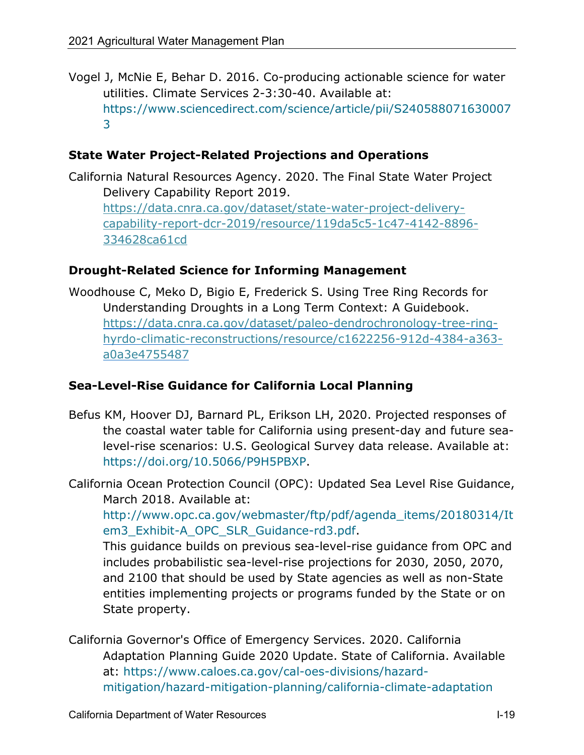Vogel J, McNie E, Behar D. 2016. Co-producing actionable science for water utilities. Climate Services 2-3:30-40. Available at: [https://www.sciencedirect.com/science/article/pii/S240588071630007](https://www.sciencedirect.com/science/article/pii/S2405880716300073) [3](https://www.sciencedirect.com/science/article/pii/S2405880716300073)

#### **State Water Project-Related Projections and Operations**

California Natural Resources Agency. 2020. The Final State Water Project Delivery Capability Report 2019. [https://data.cnra.ca.gov/dataset/state-water-project-delivery](https://data.cnra.ca.gov/dataset/state-water-project-delivery-capability-report-dcr-2019/resource/119da5c5-1c47-4142-8896-334628ca61cd)[capability-report-dcr-2019/resource/119da5c5-1c47-4142-8896-](https://data.cnra.ca.gov/dataset/state-water-project-delivery-capability-report-dcr-2019/resource/119da5c5-1c47-4142-8896-334628ca61cd) [334628ca61cd](https://data.cnra.ca.gov/dataset/state-water-project-delivery-capability-report-dcr-2019/resource/119da5c5-1c47-4142-8896-334628ca61cd)

#### **Drought-Related Science for Informing Management**

Woodhouse C, Meko D, Bigio E, Frederick S. Using Tree Ring Records for Understanding Droughts in a Long Term Context: A Guidebook. [https://data.cnra.ca.gov/dataset/paleo-dendrochronology-tree-ring](https://data.cnra.ca.gov/dataset/paleo-dendrochronology-tree-ring-hyrdo-climatic-reconstructions/resource/c1622256-912d-4384-a363-a0a3e4755487)[hyrdo-climatic-reconstructions/resource/c1622256-912d-4384-a363](https://data.cnra.ca.gov/dataset/paleo-dendrochronology-tree-ring-hyrdo-climatic-reconstructions/resource/c1622256-912d-4384-a363-a0a3e4755487) [a0a3e4755487](https://data.cnra.ca.gov/dataset/paleo-dendrochronology-tree-ring-hyrdo-climatic-reconstructions/resource/c1622256-912d-4384-a363-a0a3e4755487)

#### **Sea-Level-Rise Guidance for California Local Planning**

- Befus KM, Hoover DJ, Barnard PL, Erikson LH, 2020. Projected responses of the coastal water table for California using present-day and future sealevel-rise scenarios: U.S. Geological Survey data release. Available at: [https://doi.org/10.5066/P9H5PBXP.](https://doi.org/10.5066/P9H5PBXP)
- California Ocean Protection Council (OPC): Updated Sea Level Rise Guidance, March 2018. Available at:

[http://www.opc.ca.gov/webmaster/ftp/pdf/agenda\\_items/20180314/It](http://www.opc.ca.gov/webmaster/ftp/pdf/agenda_items/20180314/Item3_Exhibit-A_OPC_SLR_Guidance-rd3.pdf) [em3\\_Exhibit-A\\_OPC\\_SLR\\_Guidance-rd3.pdf.](http://www.opc.ca.gov/webmaster/ftp/pdf/agenda_items/20180314/Item3_Exhibit-A_OPC_SLR_Guidance-rd3.pdf)

This guidance builds on previous sea-level-rise guidance from OPC and includes probabilistic sea-level-rise projections for 2030, 2050, 2070, and 2100 that should be used by State agencies as well as non-State entities implementing projects or programs funded by the State or on State property.

California Governor's Office of Emergency Services. 2020. California Adaptation Planning Guide 2020 Update. State of California. Available at: [https://www.caloes.ca.gov/cal-oes-divisions/hazard](https://www.caloes.ca.gov/cal-oes-divisions/hazard-mitigation/hazard-mitigation-planning/california-climate-adaptation)[mitigation/hazard-mitigation-planning/california-climate-adaptation](https://www.caloes.ca.gov/cal-oes-divisions/hazard-mitigation/hazard-mitigation-planning/california-climate-adaptation)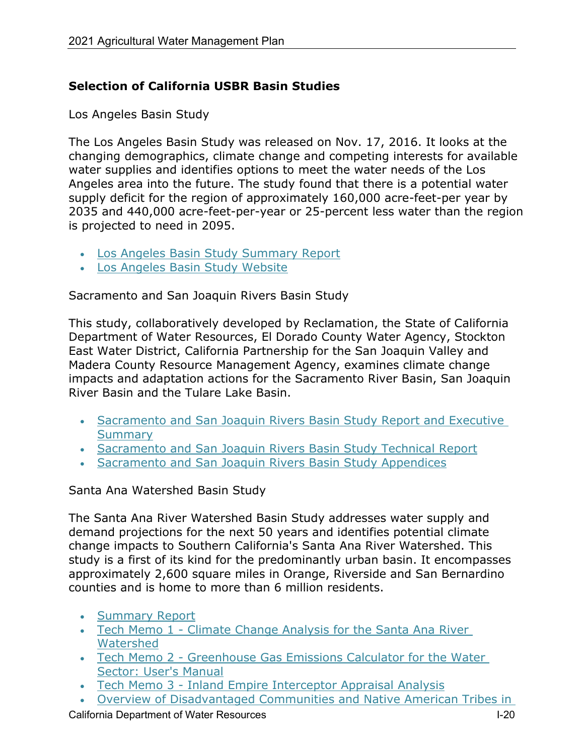## **Selection of California USBR Basin Studies**

Los Angeles Basin Study

The Los Angeles Basin Study was released on Nov. 17, 2016. It looks at the changing demographics, climate change and competing interests for available water supplies and identifies options to meet the water needs of the Los Angeles area into the future. The study found that there is a potential water supply deficit for the region of approximately 160,000 acre-feet-per year by 2035 and 440,000 acre-feet-per-year or 25-percent less water than the region is projected to need in 2095.

- [Los Angeles Basin Study Summary Report](https://www.usbr.gov/watersmart/bsp/docs/fy2017/LABasinStudySummaryReport.pdf)
- [Los Angeles Basin Study Website](https://www.usbr.gov/lc/socal/basinstudies/LABasin.html)

Sacramento and San Joaquin Rivers Basin Study

This study, collaboratively developed by Reclamation, the State of California Department of Water Resources, El Dorado County Water Agency, Stockton East Water District, California Partnership for the San Joaquin Valley and Madera County Resource Management Agency, examines climate change impacts and adaptation actions for the Sacramento River Basin, San Joaquin River Basin and the Tulare Lake Basin.

- [Sacramento and San Joaquin Rivers Basin Study Report and Executive](https://www.usbr.gov/watersmart/bsp/docs/finalreport/sacramento-sj/Sacramento_SanJoaquin_SUMMARY.pdf)  **[Summary](https://www.usbr.gov/watersmart/bsp/docs/finalreport/sacramento-sj/Sacramento_SanJoaquin_SUMMARY.pdf)**
- [Sacramento and San Joaquin Rivers Basin Study Technical Report](https://www.usbr.gov/watersmart/bsp/docs/finalreport/sacramento-sj/Sacramento_SanJoaquin_TechnicalReport.pdf)
- [Sacramento and San Joaquin Rivers Basin Study Appendices](https://www.usbr.gov/watersmart/bsp/docs/finalreport/sacramento-sj/Sacramento_SanJoaquin_APPENDICES.pdf)

#### Santa Ana Watershed Basin Study

The Santa Ana River Watershed Basin Study addresses water supply and demand projections for the next 50 years and identifies potential climate change impacts to Southern California's Santa Ana River Watershed. This study is a first of its kind for the predominantly urban basin. It encompasses approximately 2,600 square miles in Orange, Riverside and San Bernardino counties and is home to more than 6 million residents.

- [Summary Report](https://www.usbr.gov/watersmart/bsp/docs/finalreport/SantaAnaWatershed/SantaAnaBasinStudySummaryReport.pdf)
- [Tech Memo 1 Climate Change Analysis for the Santa Ana River](https://www.usbr.gov/watersmart/bsp/docs/finalreport/SantaAnaWatershed/TechMemo1-SantaAnaWatershedBasinStudy.pdf)  [Watershed](https://www.usbr.gov/watersmart/bsp/docs/finalreport/SantaAnaWatershed/TechMemo1-SantaAnaWatershedBasinStudy.pdf)
- Tech Memo 2 Greenhouse Gas Emissions Calculator for the Water [Sector: User's Manual](https://www.usbr.gov/watersmart/bsp/docs/finalreport/SantaAnaWatershed/TechMemo2-GHGCalculatorUsersManual.pdf)
- [Tech Memo 3 Inland Empire Interceptor Appraisal Analysis](https://www.usbr.gov/watersmart/bsp/docs/finalreport/SantaAnaWatershed/TechMemo3-Inland%20Empire%20InterceptorAppraisalAnalysis.pdf)
- [Overview of Disadvantaged Communities and Native American Tribes in](https://www.usbr.gov/watersmart/bsp/docs/finalreport/SantaAnaWatershed/TribalDACReport-SantaAnaWatershedBasinStudy.pdf)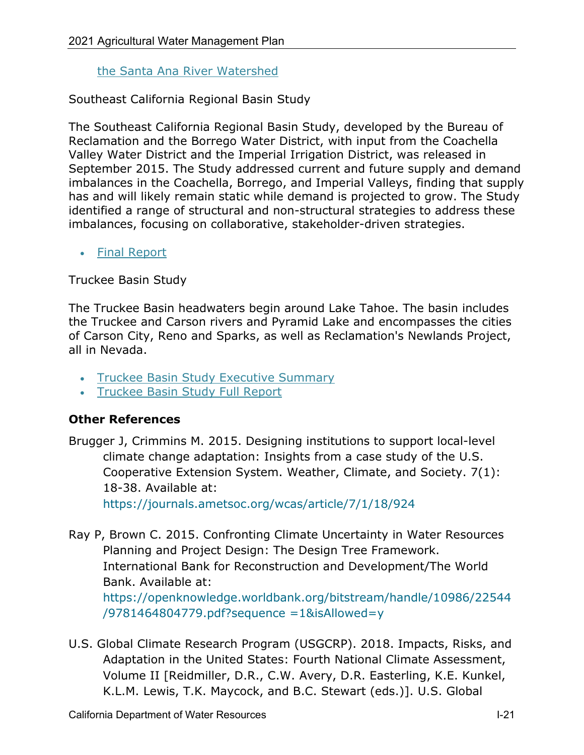#### [the Santa Ana River Watershed](https://www.usbr.gov/watersmart/bsp/docs/finalreport/SantaAnaWatershed/TribalDACReport-SantaAnaWatershedBasinStudy.pdf)

Southeast California Regional Basin Study

The Southeast California Regional Basin Study, developed by the Bureau of Reclamation and the Borrego Water District, with input from the Coachella Valley Water District and the Imperial Irrigation District, was released in September 2015. The Study addressed current and future supply and demand imbalances in the Coachella, Borrego, and Imperial Valleys, finding that supply has and will likely remain static while demand is projected to grow. The Study identified a range of structural and non-structural strategies to address these imbalances, focusing on collaborative, stakeholder-driven strategies.

#### • [Final Report](https://www.usbr.gov/watersmart/bsp/docs/finalreport/secalifornia/secabasinstudy.pdf)

Truckee Basin Study

The Truckee Basin headwaters begin around Lake Tahoe. The basin includes the Truckee and Carson rivers and Pyramid Lake and encompasses the cities of Carson City, Reno and Sparks, as well as Reclamation's Newlands Project, all in Nevada.

- [Truckee Basin Study Executive Summary](https://www.usbr.gov/watersmart/bsp/docs/finalreport/truckee/tbsbasinstudyexecutivesummary.pdf)
- [Truckee Basin Study Full Report](https://www.usbr.gov/watersmart/bsp/docs/finalreport/truckee/tbsbasinstudy.pdf)

#### **Other References**

Brugger J, Crimmins M. 2015. Designing institutions to support local-level climate change adaptation: Insights from a case study of the U.S. Cooperative Extension System. Weather, Climate, and Society. 7(1): 18-38. Available at: <https://journals.ametsoc.org/wcas/article/7/1/18/924>

Ray P, Brown C. 2015. Confronting Climate Uncertainty in Water Resources Planning and Project Design: The Design Tree Framework. International Bank for Reconstruction and Development/The World Bank. Available at: [https://openknowledge.worldbank.org/bitstream/handle/10986/22544](https://openknowledge.worldbank.org/bitstream/handle/10986/22544/9781464804779.pdf?sequence%20=1&isAllowed=y) [/9781464804779.pdf?sequence =1&isAllowed=y](https://openknowledge.worldbank.org/bitstream/handle/10986/22544/9781464804779.pdf?sequence%20=1&isAllowed=y)

U.S. Global Climate Research Program (USGCRP). 2018. Impacts, Risks, and Adaptation in the United States: Fourth National Climate Assessment, Volume II [Reidmiller, D.R., C.W. Avery, D.R. Easterling, K.E. Kunkel, K.L.M. Lewis, T.K. Maycock, and B.C. Stewart (eds.)]. U.S. Global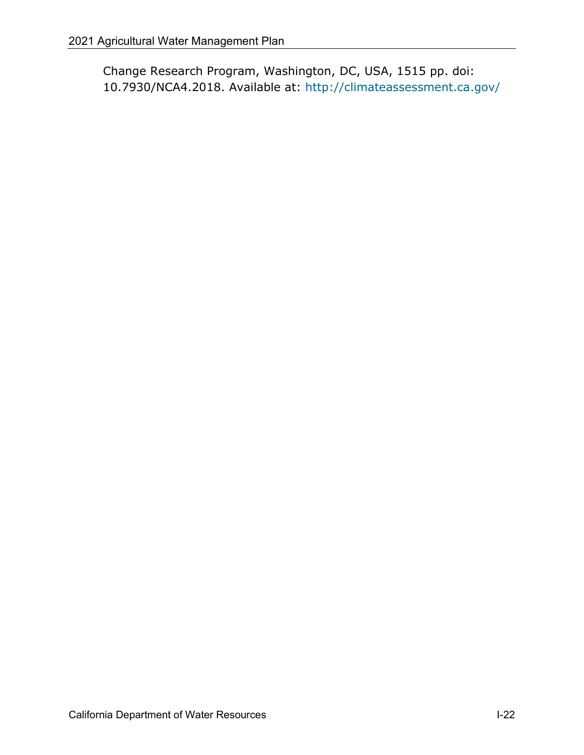Change Research Program, Washington, DC, USA, 1515 pp. doi: 10.7930/NCA4.2018. Available at:<http://climateassessment.ca.gov/>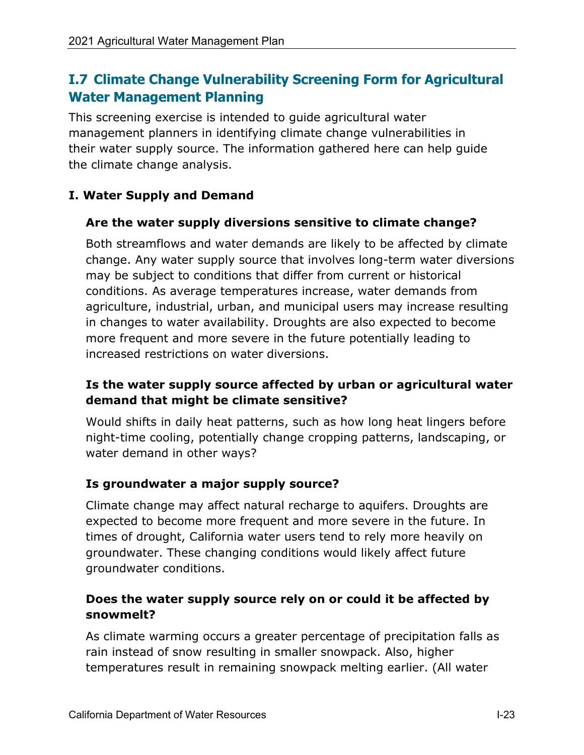# **I.7 Climate Change Vulnerability Screening Form for Agricultural Water Management Planning**

This screening exercise is intended to guide agricultural water management planners in identifying climate change vulnerabilities in their water supply source. The information gathered here can help guide the climate change analysis.

# **I. Water Supply and Demand**

## **Are the water supply diversions sensitive to climate change?**

Both streamflows and water demands are likely to be affected by climate change. Any water supply source that involves long-term water diversions may be subject to conditions that differ from current or historical conditions. As average temperatures increase, water demands from agriculture, industrial, urban, and municipal users may increase resulting in changes to water availability. Droughts are also expected to become more frequent and more severe in the future potentially leading to increased restrictions on water diversions.

# **Is the water supply source affected by urban or agricultural water demand that might be climate sensitive?**

Would shifts in daily heat patterns, such as how long heat lingers before night-time cooling, potentially change cropping patterns, landscaping, or water demand in other ways?

# **Is groundwater a major supply source?**

Climate change may affect natural recharge to aquifers. Droughts are expected to become more frequent and more severe in the future. In times of drought, California water users tend to rely more heavily on groundwater. These changing conditions would likely affect future groundwater conditions.

# **Does the water supply source rely on or could it be affected by snowmelt?**

As climate warming occurs a greater percentage of precipitation falls as rain instead of snow resulting in smaller snowpack. Also, higher temperatures result in remaining snowpack melting earlier. (All water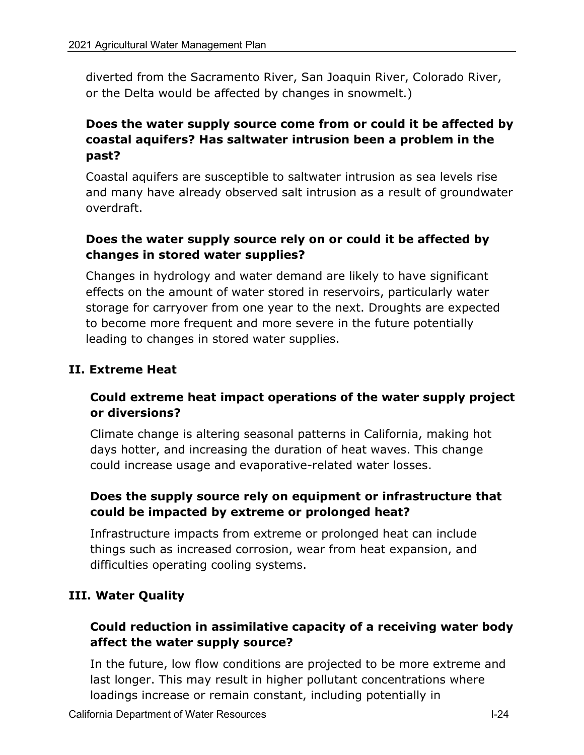diverted from the Sacramento River, San Joaquin River, Colorado River, or the Delta would be affected by changes in snowmelt.)

## **Does the water supply source come from or could it be affected by coastal aquifers? Has saltwater intrusion been a problem in the past?**

Coastal aquifers are susceptible to saltwater intrusion as sea levels rise and many have already observed salt intrusion as a result of groundwater overdraft.

## **Does the water supply source rely on or could it be affected by changes in stored water supplies?**

Changes in hydrology and water demand are likely to have significant effects on the amount of water stored in reservoirs, particularly water storage for carryover from one year to the next. Droughts are expected to become more frequent and more severe in the future potentially leading to changes in stored water supplies.

#### **II. Extreme Heat**

## **Could extreme heat impact operations of the water supply project or diversions?**

Climate change is altering seasonal patterns in California, making hot days hotter, and increasing the duration of heat waves. This change could increase usage and evaporative-related water losses.

## **Does the supply source rely on equipment or infrastructure that could be impacted by extreme or prolonged heat?**

Infrastructure impacts from extreme or prolonged heat can include things such as increased corrosion, wear from heat expansion, and difficulties operating cooling systems.

#### **III. Water Quality**

## **Could reduction in assimilative capacity of a receiving water body affect the water supply source?**

In the future, low flow conditions are projected to be more extreme and last longer. This may result in higher pollutant concentrations where loadings increase or remain constant, including potentially in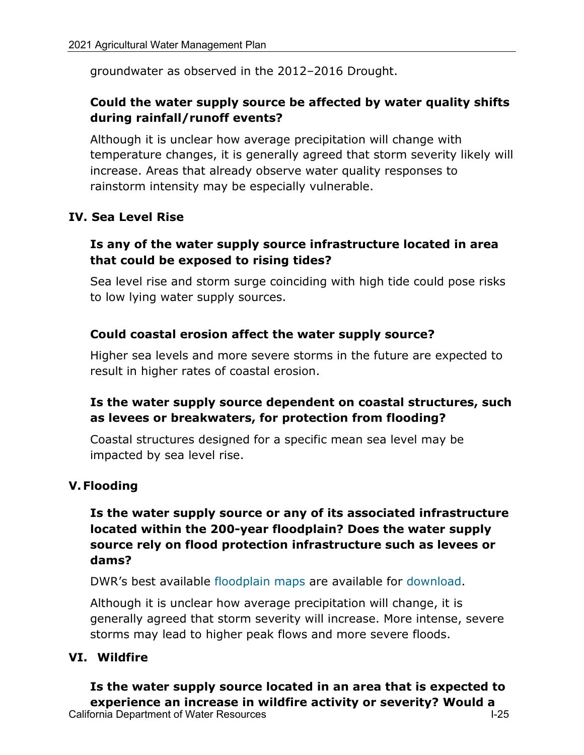groundwater as observed in the 2012–2016 Drought.

## **Could the water supply source be affected by water quality shifts during rainfall/runoff events?**

Although it is unclear how average precipitation will change with temperature changes, it is generally agreed that storm severity likely will increase. Areas that already observe water quality responses to rainstorm intensity may be especially vulnerable.

#### **IV. Sea Level Rise**

#### **Is any of the water supply source infrastructure located in area that could be exposed to rising tides?**

Sea level rise and storm surge coinciding with high tide could pose risks to low lying water supply sources.

#### **Could coastal erosion affect the water supply source?**

Higher sea levels and more severe storms in the future are expected to result in higher rates of coastal erosion.

#### **Is the water supply source dependent on coastal structures, such as levees or breakwaters, for protection from flooding?**

Coastal structures designed for a specific mean sea level may be impacted by sea level rise.

#### **V.Flooding**

## **Is the water supply source or any of its associated infrastructure located within the 200-year floodplain? Does the water supply source rely on flood protection infrastructure such as levees or dams?**

DWR's best available [floodplain maps a](http://gis.bam.water.ca.gov/bam)re available for [download.](http://gis.bam.water.ca.gov/bam)

Although it is unclear how average precipitation will change, it is generally agreed that storm severity will increase. More intense, severe storms may lead to higher peak flows and more severe floods.

#### **VI. Wildfire**

California Department of Water Resources **I-25** and the U-25 set of the U-25 set of the U-25 **Is the water supply source located in an area that is expected to experience an increase in wildfire activity or severity? Would a**